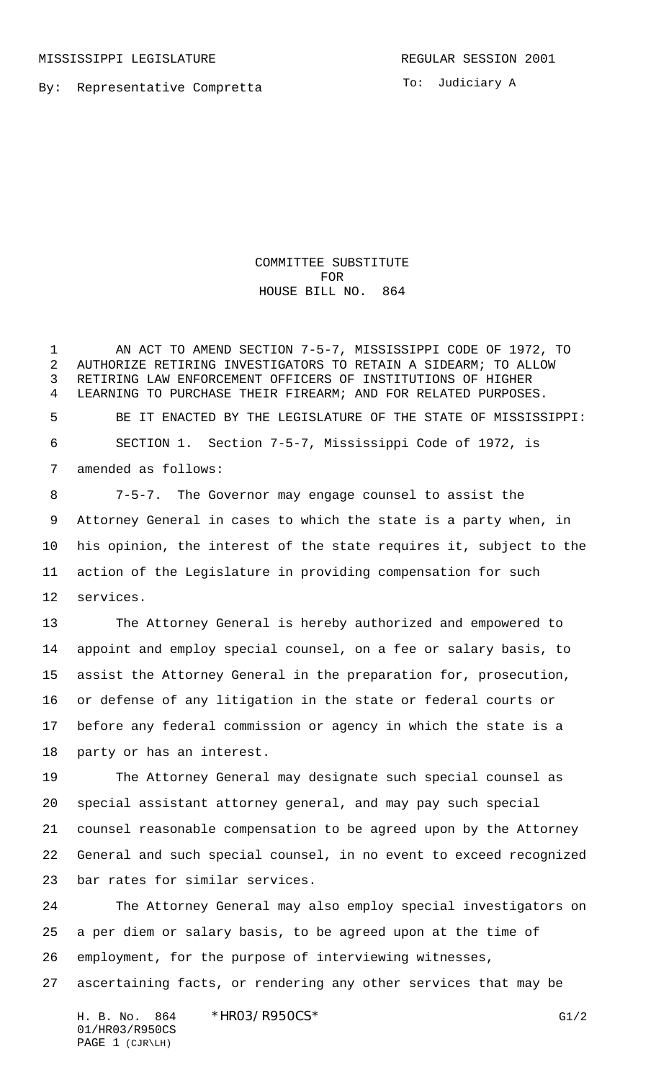By: Representative Compretta

To: Judiciary A

COMMITTEE SUBSTITUTE FOR HOUSE BILL NO. 864

 AN ACT TO AMEND SECTION 7-5-7, MISSISSIPPI CODE OF 1972, TO AUTHORIZE RETIRING INVESTIGATORS TO RETAIN A SIDEARM; TO ALLOW RETIRING LAW ENFORCEMENT OFFICERS OF INSTITUTIONS OF HIGHER LEARNING TO PURCHASE THEIR FIREARM; AND FOR RELATED PURPOSES. BE IT ENACTED BY THE LEGISLATURE OF THE STATE OF MISSISSIPPI: SECTION 1. Section 7-5-7, Mississippi Code of 1972, is amended as follows:

 7-5-7. The Governor may engage counsel to assist the Attorney General in cases to which the state is a party when, in his opinion, the interest of the state requires it, subject to the action of the Legislature in providing compensation for such services.

 The Attorney General is hereby authorized and empowered to appoint and employ special counsel, on a fee or salary basis, to assist the Attorney General in the preparation for, prosecution, or defense of any litigation in the state or federal courts or before any federal commission or agency in which the state is a party or has an interest.

 The Attorney General may designate such special counsel as special assistant attorney general, and may pay such special counsel reasonable compensation to be agreed upon by the Attorney General and such special counsel, in no event to exceed recognized bar rates for similar services.

 The Attorney General may also employ special investigators on a per diem or salary basis, to be agreed upon at the time of employment, for the purpose of interviewing witnesses, ascertaining facts, or rendering any other services that may be

H. B. No. 864 \*HR03/R950CS\* G1/2 01/HR03/R950CS PAGE 1 (CJR\LH)